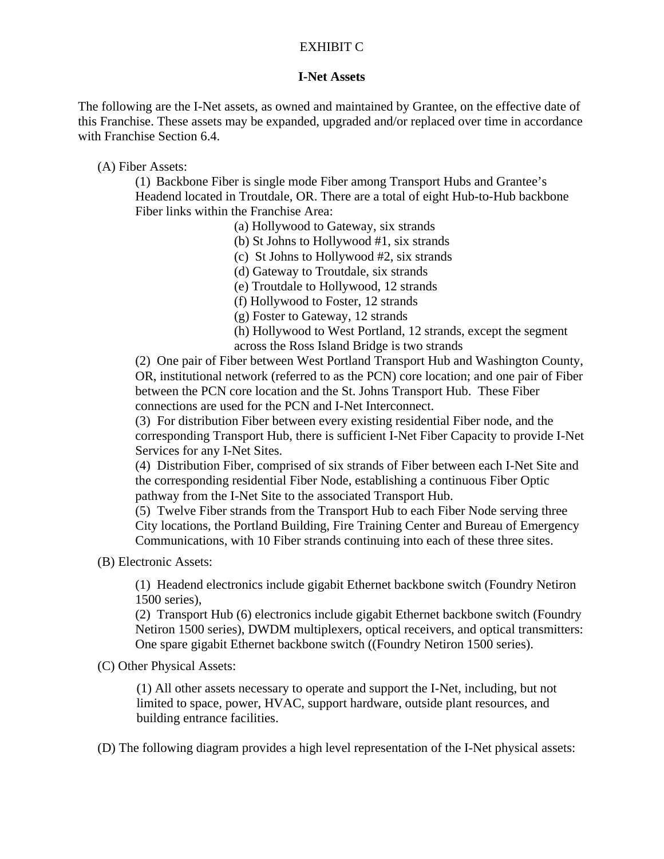## EXHIBIT C

## **I-Net Assets**

The following are the I-Net assets, as owned and maintained by Grantee, on the effective date of this Franchise. These assets may be expanded, upgraded and/or replaced over time in accordance with Franchise Section 6.4.

(A) Fiber Assets:

(1) Backbone Fiber is single mode Fiber among Transport Hubs and Grantee's Headend located in Troutdale, OR. There are a total of eight Hub-to-Hub backbone Fiber links within the Franchise Area:

(a) Hollywood to Gateway, six strands

(b) St Johns to Hollywood #1, six strands

(c) St Johns to Hollywood #2, six strands

(d) Gateway to Troutdale, six strands

(e) Troutdale to Hollywood, 12 strands

(f) Hollywood to Foster, 12 strands

(g) Foster to Gateway, 12 strands

(h) Hollywood to West Portland, 12 strands, except the segment across the Ross Island Bridge is two strands

(2) One pair of Fiber between West Portland Transport Hub and Washington County, OR, institutional network (referred to as the PCN) core location; and one pair of Fiber between the PCN core location and the St. Johns Transport Hub. These Fiber connections are used for the PCN and I-Net Interconnect.

(3) For distribution Fiber between every existing residential Fiber node, and the corresponding Transport Hub, there is sufficient I-Net Fiber Capacity to provide I-Net Services for any I-Net Sites.

(4) Distribution Fiber, comprised of six strands of Fiber between each I-Net Site and the corresponding residential Fiber Node, establishing a continuous Fiber Optic pathway from the I-Net Site to the associated Transport Hub.

(5) Twelve Fiber strands from the Transport Hub to each Fiber Node serving three City locations, the Portland Building, Fire Training Center and Bureau of Emergency Communications, with 10 Fiber strands continuing into each of these three sites.

(B) Electronic Assets:

(1) Headend electronics include gigabit Ethernet backbone switch (Foundry Netiron 1500 series),

(2) Transport Hub (6) electronics include gigabit Ethernet backbone switch (Foundry Netiron 1500 series), DWDM multiplexers, optical receivers, and optical transmitters: One spare gigabit Ethernet backbone switch ((Foundry Netiron 1500 series).

(C) Other Physical Assets:

(1) All other assets necessary to operate and support the I-Net, including, but not limited to space, power, HVAC, support hardware, outside plant resources, and building entrance facilities.

(D) The following diagram provides a high level representation of the I-Net physical assets: